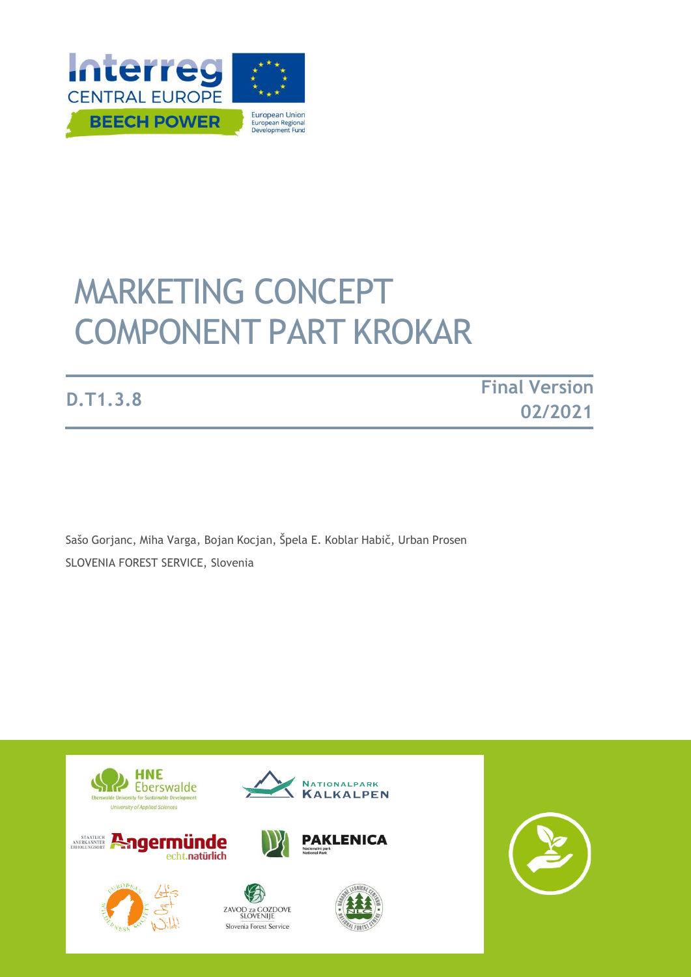

# MARKETING CONCEPT COMPONENT PART KROKAR

**D.T1.3.8 Final Version 02/2021**

Sašo Gorjanc, Miha Varga, Bojan Kocjan, Špela E. Koblar Habič, Urban Prosen SLOVENIA FOREST SERVICE, Slovenia

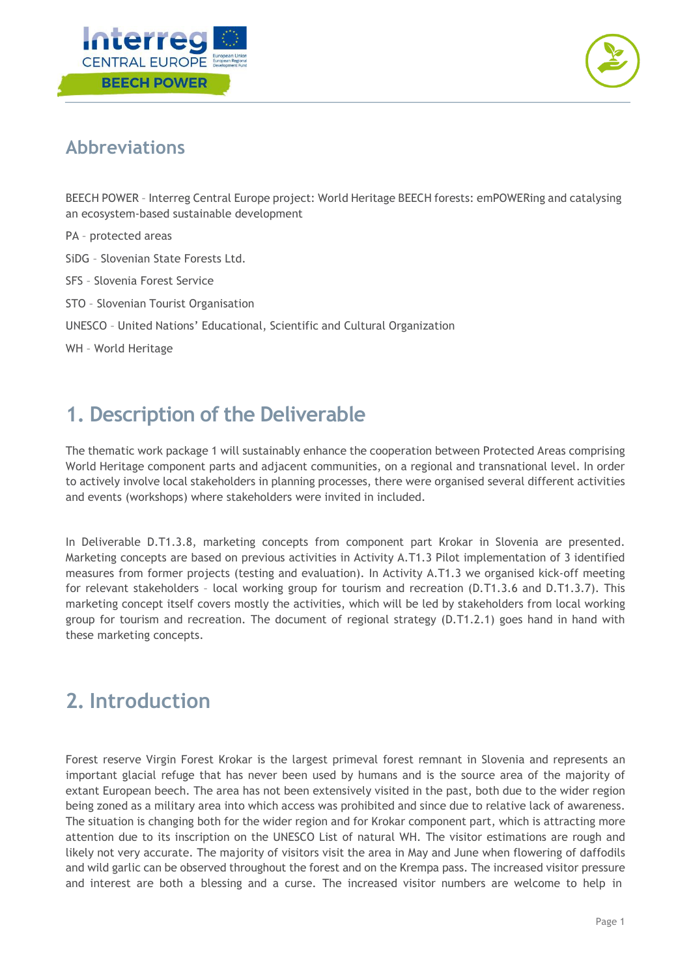



#### **Abbreviations**

BEECH POWER – Interreg Central Europe project: World Heritage BEECH forests: emPOWERing and catalysing an ecosystem-based sustainable development

PA – protected areas

SiDG – Slovenian State Forests Ltd.

SFS – Slovenia Forest Service

STO – Slovenian Tourist Organisation

UNESCO – United Nations' Educational, Scientific and Cultural Organization

WH – World Heritage

#### **1. Description of the Deliverable**

The thematic work package 1 will sustainably enhance the cooperation between Protected Areas comprising World Heritage component parts and adjacent communities, on a regional and transnational level. In order to actively involve local stakeholders in planning processes, there were organised several different activities and events (workshops) where stakeholders were invited in included.

In Deliverable D.T1.3.8, marketing concepts from component part Krokar in Slovenia are presented. Marketing concepts are based on previous activities in Activity A.T1.3 Pilot implementation of 3 identified measures from former projects (testing and evaluation). In Activity A.T1.3 we organised kick-off meeting for relevant stakeholders – local working group for tourism and recreation (D.T1.3.6 and D.T1.3.7). This marketing concept itself covers mostly the activities, which will be led by stakeholders from local working group for tourism and recreation. The document of regional strategy (D.T1.2.1) goes hand in hand with these marketing concepts.

#### **2. Introduction**

Forest reserve Virgin Forest Krokar is the largest primeval forest remnant in Slovenia and represents an important glacial refuge that has never been used by humans and is the source area of the majority of extant European beech. The area has not been extensively visited in the past, both due to the wider region being zoned as a military area into which access was prohibited and since due to relative lack of awareness. The situation is changing both for the wider region and for Krokar component part, which is attracting more attention due to its inscription on the UNESCO List of natural WH. The visitor estimations are rough and likely not very accurate. The majority of visitors visit the area in May and June when flowering of daffodils and wild garlic can be observed throughout the forest and on the Krempa pass. The increased visitor pressure and interest are both a blessing and a curse. The increased visitor numbers are welcome to help in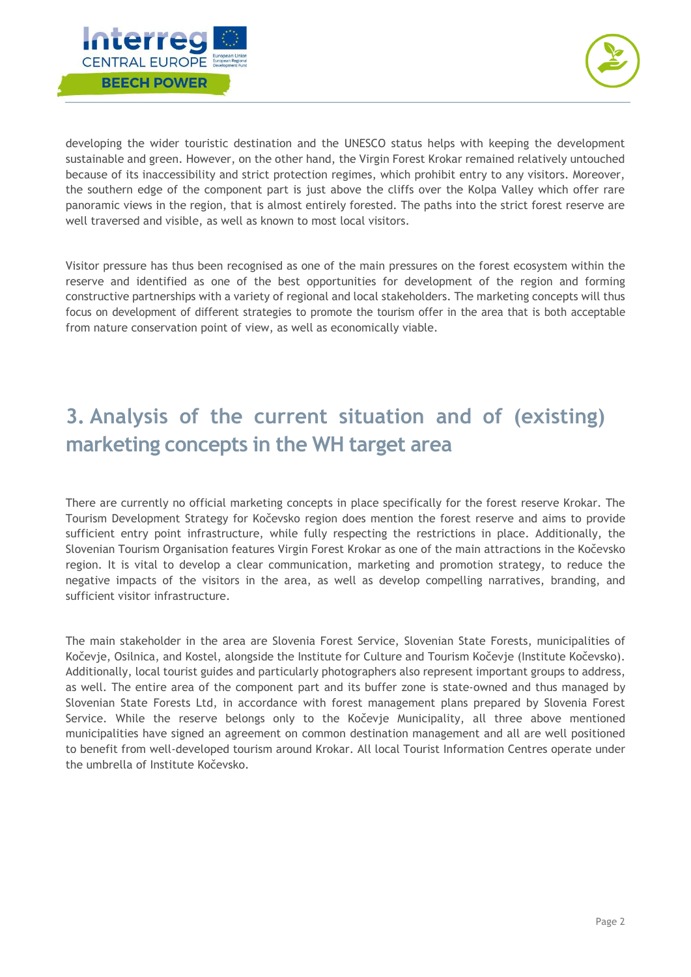



developing the wider touristic destination and the UNESCO status helps with keeping the development sustainable and green. However, on the other hand, the Virgin Forest Krokar remained relatively untouched because of its inaccessibility and strict protection regimes, which prohibit entry to any visitors. Moreover, the southern edge of the component part is just above the cliffs over the Kolpa Valley which offer rare panoramic views in the region, that is almost entirely forested. The paths into the strict forest reserve are well traversed and visible, as well as known to most local visitors.

Visitor pressure has thus been recognised as one of the main pressures on the forest ecosystem within the reserve and identified as one of the best opportunities for development of the region and forming constructive partnerships with a variety of regional and local stakeholders. The marketing concepts will thus focus on development of different strategies to promote the tourism offer in the area that is both acceptable from nature conservation point of view, as well as economically viable.

## **3. Analysis of the current situation and of (existing) marketing concepts in the WH target area**

There are currently no official marketing concepts in place specifically for the forest reserve Krokar. The Tourism Development Strategy for Kočevsko region does mention the forest reserve and aims to provide sufficient entry point infrastructure, while fully respecting the restrictions in place. Additionally, the Slovenian Tourism Organisation features Virgin Forest Krokar as one of the main attractions in the Kočevsko region. It is vital to develop a clear communication, marketing and promotion strategy, to reduce the negative impacts of the visitors in the area, as well as develop compelling narratives, branding, and sufficient visitor infrastructure.

The main stakeholder in the area are Slovenia Forest Service, Slovenian State Forests, municipalities of Kočevje, Osilnica, and Kostel, alongside the Institute for Culture and Tourism Kočevje (Institute Kočevsko). Additionally, local tourist guides and particularly photographers also represent important groups to address, as well. The entire area of the component part and its buffer zone is state-owned and thus managed by Slovenian State Forests Ltd, in accordance with forest management plans prepared by Slovenia Forest Service. While the reserve belongs only to the Kočevje Municipality, all three above mentioned municipalities have signed an agreement on common destination management and all are well positioned to benefit from well-developed tourism around Krokar. All local Tourist Information Centres operate under the umbrella of Institute Kočevsko.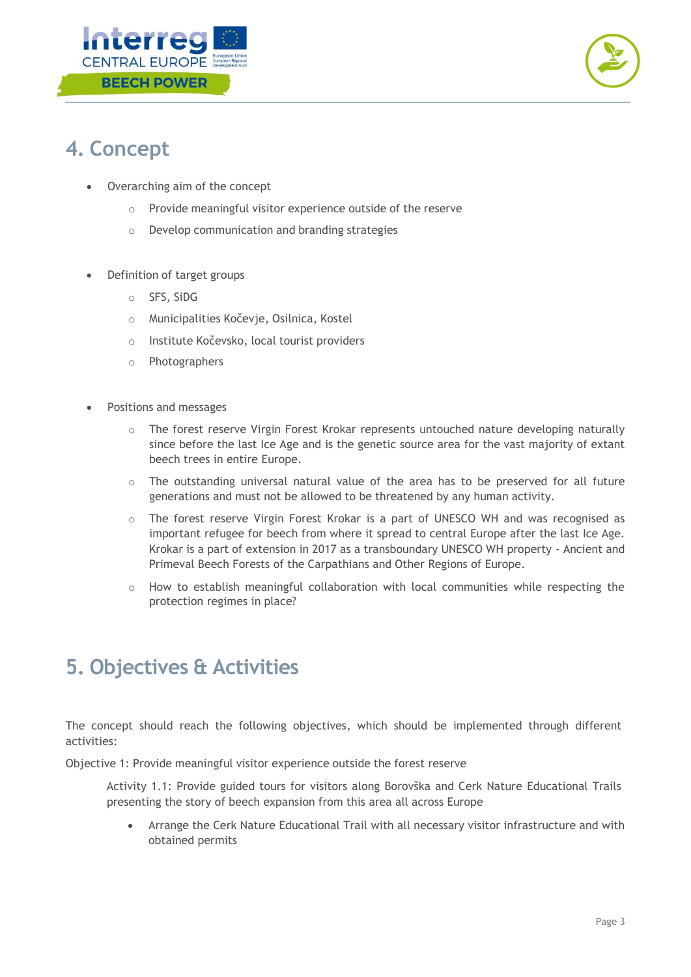



### **4. Concept**

- Overarching aim of the concept
	- o Provide meaningful visitor experience outside of the reserve
	- o Develop communication and branding strategies
- Definition of target groups
	- o SFS, SiDG
	- o Municipalities Kočevje, Osilnica, Kostel
	- o Institute Kočevsko, local tourist providers
	- o Photographers
- Positions and messages
	- $\circ$  The forest reserve Virgin Forest Krokar represents untouched nature developing naturally since before the last Ice Age and is the genetic source area for the vast majority of extant beech trees in entire Europe.
	- $\circ$  The outstanding universal natural value of the area has to be preserved for all future generations and must not be allowed to be threatened by any human activity.
	- o The forest reserve Virgin Forest Krokar is a part of UNESCO WH and was recognised as important refugee for beech from where it spread to central Europe after the last Ice Age. Krokar is a part of extension in 2017 as a transboundary UNESCO WH property - Ancient and Primeval Beech Forests of the Carpathians and Other Regions of Europe.
	- o How to establish meaningful collaboration with local communities while respecting the protection regimes in place?

### **5. Objectives & Activities**

The concept should reach the following objectives, which should be implemented through different activities:

Objective 1: Provide meaningful visitor experience outside the forest reserve

Activity 1.1: Provide guided tours for visitors along Borovška and Cerk Nature Educational Trails presenting the story of beech expansion from this area all across Europe

• Arrange the Cerk Nature Educational Trail with all necessary visitor infrastructure and with obtained permits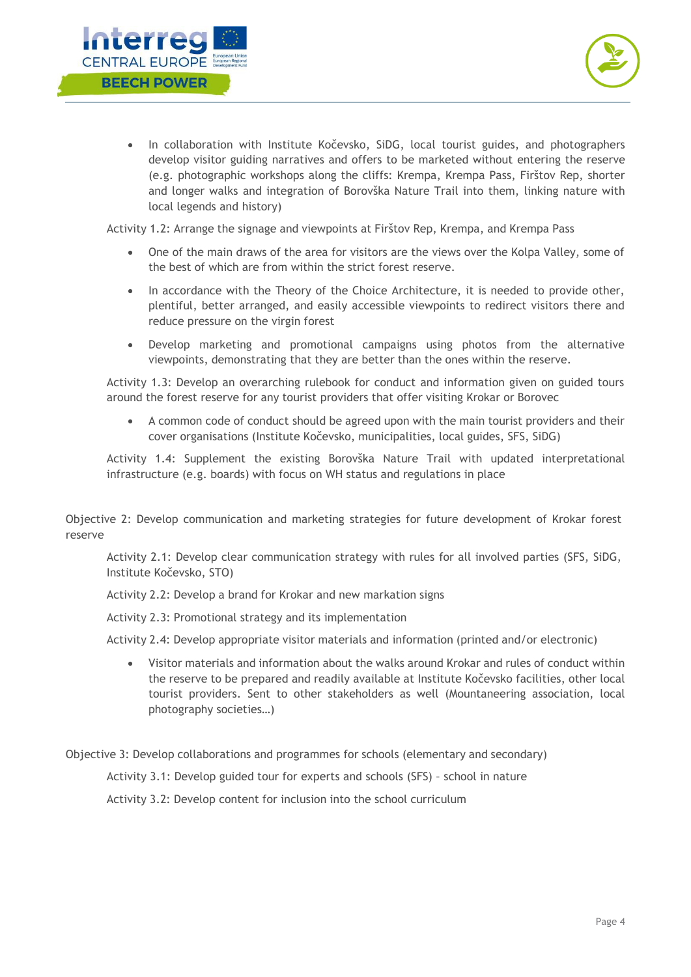



• In collaboration with Institute Kočevsko, SiDG, local tourist guides, and photographers develop visitor guiding narratives and offers to be marketed without entering the reserve (e.g. photographic workshops along the cliffs: Krempa, Krempa Pass, Firštov Rep, shorter and longer walks and integration of Borovška Nature Trail into them, linking nature with local legends and history)

Activity 1.2: Arrange the signage and viewpoints at Firštov Rep, Krempa, and Krempa Pass

- One of the main draws of the area for visitors are the views over the Kolpa Valley, some of the best of which are from within the strict forest reserve.
- In accordance with the Theory of the Choice Architecture, it is needed to provide other, plentiful, better arranged, and easily accessible viewpoints to redirect visitors there and reduce pressure on the virgin forest
- Develop marketing and promotional campaigns using photos from the alternative viewpoints, demonstrating that they are better than the ones within the reserve.

Activity 1.3: Develop an overarching rulebook for conduct and information given on guided tours around the forest reserve for any tourist providers that offer visiting Krokar or Borovec

• A common code of conduct should be agreed upon with the main tourist providers and their cover organisations (Institute Kočevsko, municipalities, local guides, SFS, SiDG)

Activity 1.4: Supplement the existing Borovška Nature Trail with updated interpretational infrastructure (e.g. boards) with focus on WH status and regulations in place

Objective 2: Develop communication and marketing strategies for future development of Krokar forest reserve

Activity 2.1: Develop clear communication strategy with rules for all involved parties (SFS, SiDG, Institute Kočevsko, STO)

Activity 2.2: Develop a brand for Krokar and new markation signs

Activity 2.3: Promotional strategy and its implementation

Activity 2.4: Develop appropriate visitor materials and information (printed and/or electronic)

• Visitor materials and information about the walks around Krokar and rules of conduct within the reserve to be prepared and readily available at Institute Kočevsko facilities, other local tourist providers. Sent to other stakeholders as well (Mountaneering association, local photography societies…)

Objective 3: Develop collaborations and programmes for schools (elementary and secondary)

Activity 3.1: Develop guided tour for experts and schools (SFS) – school in nature

Activity 3.2: Develop content for inclusion into the school curriculum